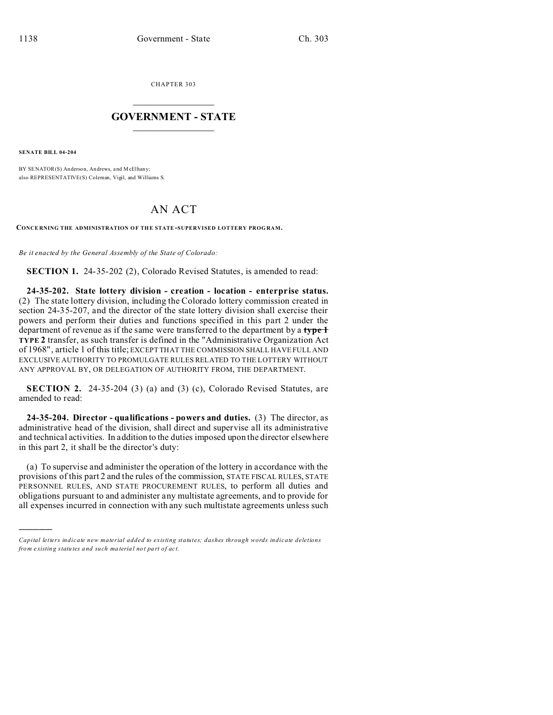CHAPTER 303  $\overline{\phantom{a}}$  , where  $\overline{\phantom{a}}$ 

## **GOVERNMENT - STATE**  $\_$   $\_$

**SENATE BILL 04-204**

)))))

BY SENATOR(S) Anderson, An drews, and M cElhany; also REPRESENTATIVE(S) Coleman, Vigil, and Williams S.

## AN ACT

**CONCE RNING THE ADMINISTRATION OF THE STATE-SUPERVISED LOTTERY PROG RAM.**

*Be it enacted by the General Assembly of the State of Colorado:*

**SECTION 1.** 24-35-202 (2), Colorado Revised Statutes, is amended to read:

**24-35-202. State lottery division - creation - location - enterprise status.** (2) The state lottery division, including the Colorado lottery commission created in section 24-35-207, and the director of the state lottery division shall exercise their powers and perform their duties and functions specified in this part 2 under the department of revenue as if the same were transferred to the department by a **type 1 TYPE 2** transfer, as such transfer is defined in the "Administrative Organization Act of 1968", article 1 of this title; EXCEPT THAT THE COMMISSION SHALL HAVE FULL AND EXCLUSIVE AUTHORITY TO PROMULGATE RULES RELATED TO THE LOTTERY WITHOUT ANY APPROVAL BY, OR DELEGATION OF AUTHORITY FROM, THE DEPARTMENT.

**SECTION 2.** 24-35-204 (3) (a) and (3) (c), Colorado Revised Statutes, are amended to read:

**24-35-204. Director - qualifications - powers and duties.** (3) The director, as administrative head of the division, shall direct and supervise all its administrative and technical activities. In addition to the duties imposed upon the director elsewhere in this part 2, it shall be the director's duty:

(a) To supervise and administer the operation of the lottery in accordance with the provisions of this part 2 and the rules of the commission, STATE FISCAL RULES, STATE PERSONNEL RULES, AND STATE PROCUREMENT RULES, to perform all duties and obligations pursuant to and administer any multistate agreements, and to provide for all expenses incurred in connection with any such multistate agreements unless such

*Capital letters indicate new material added to existing statutes; dashes through words indicate deletions from e xistin g statu tes a nd such ma teria l no t pa rt of ac t.*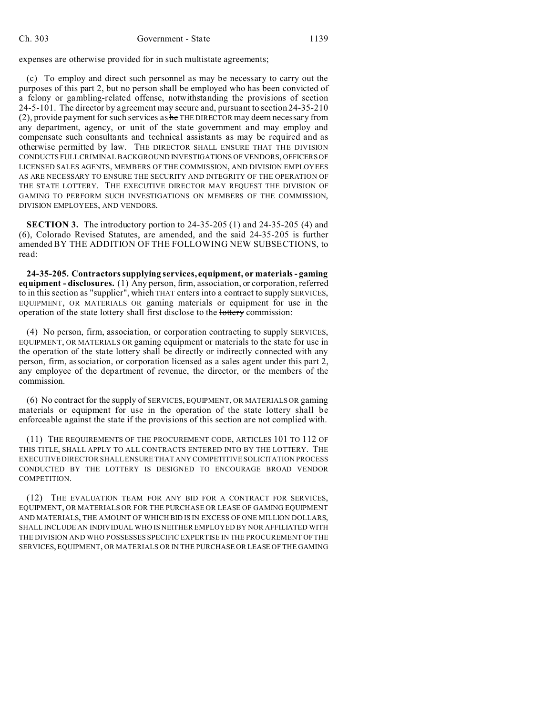expenses are otherwise provided for in such multistate agreements;

(c) To employ and direct such personnel as may be necessary to carry out the purposes of this part 2, but no person shall be employed who has been convicted of a felony or gambling-related offense, notwithstanding the provisions of section 24-5-101. The director by agreement may secure and, pursuant to section 24-35-210 (2), provide payment for such services as  $he$  THE DIRECTOR may deem necessary from any department, agency, or unit of the state government and may employ and compensate such consultants and technical assistants as may be required and as otherwise permitted by law. THE DIRECTOR SHALL ENSURE THAT THE DIVISION CONDUCTS FULL CRIMINAL BACKGROUND INVESTIGATIONS OF VENDORS, OFFICERS OF LICENSED SALES AGENTS, MEMBERS OF THE COMMISSION, AND DIVISION EMPLOYEES AS ARE NECESSARY TO ENSURE THE SECURITY AND INTEGRITY OF THE OPERATION OF THE STATE LOTTERY. THE EXECUTIVE DIRECTOR MAY REQUEST THE DIVISION OF GAMING TO PERFORM SUCH INVESTIGATIONS ON MEMBERS OF THE COMMISSION, DIVISION EMPLOYEES, AND VENDORS.

**SECTION 3.** The introductory portion to 24-35-205 (1) and 24-35-205 (4) and (6), Colorado Revised Statutes, are amended, and the said 24-35-205 is further amended BY THE ADDITION OF THE FOLLOWING NEW SUBSECTIONS, to read:

**24-35-205. Contractors supplying services, equipment, or materials - gaming equipment - disclosures.** (1) Any person, firm, association, or corporation, referred to in this section as "supplier", which THAT enters into a contract to supply SERVICES, EQUIPMENT, OR MATERIALS OR gaming materials or equipment for use in the operation of the state lottery shall first disclose to the lottery commission:

(4) No person, firm, association, or corporation contracting to supply SERVICES, EQUIPMENT, OR MATERIALS OR gaming equipment or materials to the state for use in the operation of the state lottery shall be directly or indirectly connected with any person, firm, association, or corporation licensed as a sales agent under this part 2, any employee of the department of revenue, the director, or the members of the commission.

(6) No contract for the supply of SERVICES, EQUIPMENT, OR MATERIALS OR gaming materials or equipment for use in the operation of the state lottery shall be enforceable against the state if the provisions of this section are not complied with.

(11) THE REQUIREMENTS OF THE PROCUREMENT CODE, ARTICLES 101 TO 112 OF THIS TITLE, SHALL APPLY TO ALL CONTRACTS ENTERED INTO BY THE LOTTERY. THE EXECUTIVE DIRECTOR SHALL ENSURE THAT ANY COMPETITIVE SOLICITATION PROCESS CONDUCTED BY THE LOTTERY IS DESIGNED TO ENCOURAGE BROAD VENDOR COMPETITION.

(12) THE EVALUATION TEAM FOR ANY BID FOR A CONTRACT FOR SERVICES, EQUIPMENT, OR MATERIALS OR FOR THE PURCHASE OR LEASE OF GAMING EQUIPMENT AND MATERIALS, THE AMOUNT OF WHICH BID IS IN EXCESS OF ONE MILLION DOLLARS, SHALL INCLUDE AN INDIVIDUAL WHO IS NEITHER EMPLOYED BY NOR AFFILIATED WITH THE DIVISION AND WHO POSSESSES SPECIFIC EXPERTISE IN THE PROCUREMENT OF THE SERVICES, EQUIPMENT, OR MATERIALS OR IN THE PURCHASE OR LEASE OF THE GAMING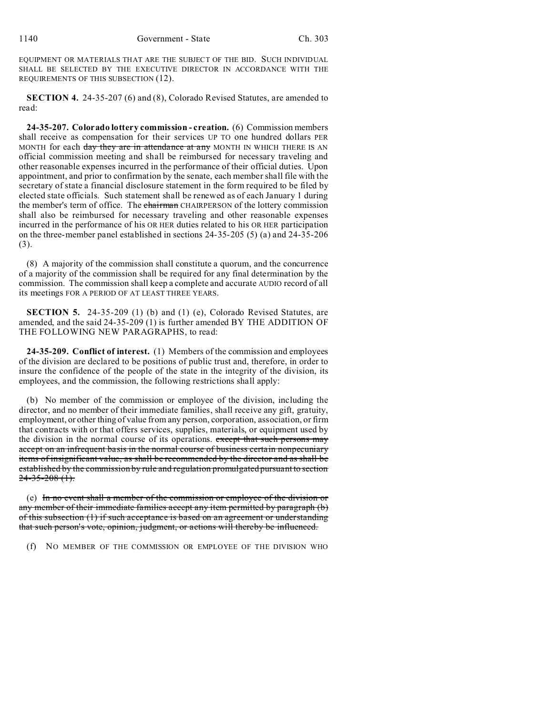EQUIPMENT OR MATERIALS THAT ARE THE SUBJECT OF THE BID. SUCH INDIVIDUAL SHALL BE SELECTED BY THE EXECUTIVE DIRECTOR IN ACCORDANCE WITH THE REQUIREMENTS OF THIS SUBSECTION (12).

**SECTION 4.** 24-35-207 (6) and (8), Colorado Revised Statutes, are amended to read:

**24-35-207. Colorado lottery commission - creation.** (6) Commission members shall receive as compensation for their services UP TO one hundred dollars PER MONTH for each day they are in attendance at any MONTH IN WHICH THERE IS AN official commission meeting and shall be reimbursed for necessary traveling and other reasonable expenses incurred in the performance of their official duties. Upon appointment, and prior to confirmation by the senate, each member shall file with the secretary of state a financial disclosure statement in the form required to be filed by elected state officials. Such statement shall be renewed as of each January 1 during the member's term of office. The chairman CHAIRPERSON of the lottery commission shall also be reimbursed for necessary traveling and other reasonable expenses incurred in the performance of his OR HER duties related to his OR HER participation on the three-member panel established in sections 24-35-205 (5) (a) and 24-35-206 (3).

(8) A majority of the commission shall constitute a quorum, and the concurrence of a majority of the commission shall be required for any final determination by the commission. The commission shall keep a complete and accurate AUDIO record of all its meetings FOR A PERIOD OF AT LEAST THREE YEARS.

**SECTION 5.** 24-35-209 (1) (b) and (1) (e), Colorado Revised Statutes, are amended, and the said 24-35-209 (1) is further amended BY THE ADDITION OF THE FOLLOWING NEW PARAGRAPHS, to read:

**24-35-209. Conflict of interest.** (1) Members of the commission and employees of the division are declared to be positions of public trust and, therefore, in order to insure the confidence of the people of the state in the integrity of the division, its employees, and the commission, the following restrictions shall apply:

(b) No member of the commission or employee of the division, including the director, and no member of their immediate families, shall receive any gift, gratuity, employment, or other thing of value from any person, corporation, association, or firm that contracts with or that offers services, supplies, materials, or equipment used by the division in the normal course of its operations. except that such persons may accept on an infrequent basis in the normal course of business certain nonpecuniary items of insignificant value, as shall be recommended by the director and as shall be established by the commission by rule and regulation promulgated pursuant to section  $24 - 35 - 208$  (1).

(e) In no event shall a member of the commission or employee of the division or any member of their immediate families accept any item permitted by paragraph (b) of this subsection (1) if such acceptance is based on an agreement or understanding that such person's vote, opinion, judgment, or actions will thereby be influenced.

(f) NO MEMBER OF THE COMMISSION OR EMPLOYEE OF THE DIVISION WHO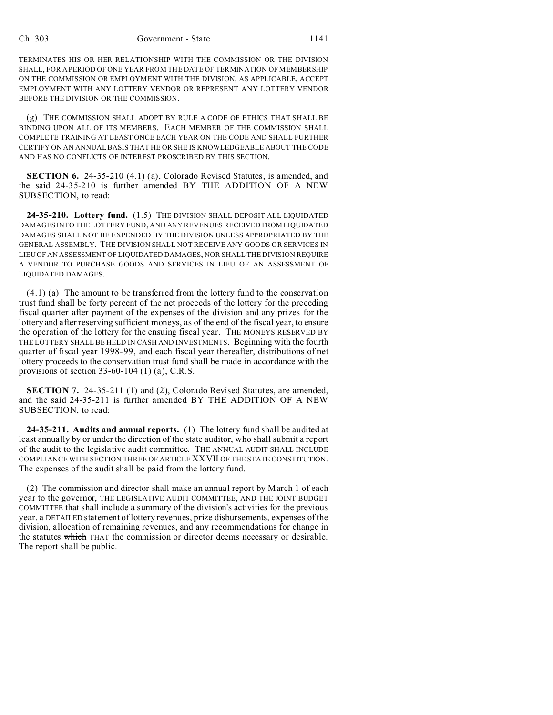TERMINATES HIS OR HER RELATIONSHIP WITH THE COMMISSION OR THE DIVISION SHALL, FOR A PERIOD OF ONE YEAR FROM THE DATE OF TERMINATION OF MEMBERSHIP ON THE COMMISSION OR EMPLOYMENT WITH THE DIVISION, AS APPLICABLE, ACCEPT EMPLOYMENT WITH ANY LOTTERY VENDOR OR REPRESENT ANY LOTTERY VENDOR BEFORE THE DIVISION OR THE COMMISSION.

(g) THE COMMISSION SHALL ADOPT BY RULE A CODE OF ETHICS THAT SHALL BE BINDING UPON ALL OF ITS MEMBERS. EACH MEMBER OF THE COMMISSION SHALL COMPLETE TRAINING AT LEAST ONCE EACH YEAR ON THE CODE AND SHALL FURTHER CERTIFY ON AN ANNUAL BASIS THAT HE OR SHE IS KNOWLEDGEABLE ABOUT THE CODE AND HAS NO CONFLICTS OF INTEREST PROSCRIBED BY THIS SECTION.

**SECTION 6.** 24-35-210 (4.1) (a), Colorado Revised Statutes, is amended, and the said 24-35-210 is further amended BY THE ADDITION OF A NEW SUBSECTION, to read:

**24-35-210. Lottery fund.** (1.5) THE DIVISION SHALL DEPOSIT ALL LIQUIDATED DAMAGES INTO THE LOTTERY FUND, AND ANY REVENUES RECEIVED FROM LIQUIDATED DAMAGES SHALL NOT BE EXPENDED BY THE DIVISION UNLESS APPROPRIATED BY THE GENERAL ASSEMBLY. THE DIVISION SHALL NOT RECEIVE ANY GOODS OR SERVICES IN LIEU OF AN ASSESSMENT OF LIQUIDATED DAMAGES, NOR SHALL THE DIVISION REQUIRE A VENDOR TO PURCHASE GOODS AND SERVICES IN LIEU OF AN ASSESSMENT OF LIQUIDATED DAMAGES.

(4.1) (a) The amount to be transferred from the lottery fund to the conservation trust fund shall be forty percent of the net proceeds of the lottery for the preceding fiscal quarter after payment of the expenses of the division and any prizes for the lottery and after reserving sufficient moneys, as of the end of the fiscal year, to ensure the operation of the lottery for the ensuing fiscal year. THE MONEYS RESERVED BY THE LOTTERY SHALL BE HELD IN CASH AND INVESTMENTS. Beginning with the fourth quarter of fiscal year 1998-99, and each fiscal year thereafter, distributions of net lottery proceeds to the conservation trust fund shall be made in accordance with the provisions of section 33-60-104 (1) (a), C.R.S.

**SECTION 7.** 24-35-211 (1) and (2), Colorado Revised Statutes, are amended, and the said 24-35-211 is further amended BY THE ADDITION OF A NEW SUBSECTION, to read:

**24-35-211. Audits and annual reports.** (1) The lottery fund shall be audited at least annually by or under the direction of the state auditor, who shall submit a report of the audit to the legislative audit committee. THE ANNUAL AUDIT SHALL INCLUDE COMPLIANCE WITH SECTION THREE OF ARTICLE XXVII OF THE STATE CONSTITUTION. The expenses of the audit shall be paid from the lottery fund.

(2) The commission and director shall make an annual report by March 1 of each year to the governor, THE LEGISLATIVE AUDIT COMMITTEE, AND THE JOINT BUDGET COMMITTEE that shall include a summary of the division's activities for the previous year, a DETAILED statement of lottery revenues, prize disbursements, expenses of the division, allocation of remaining revenues, and any recommendations for change in the statutes which THAT the commission or director deems necessary or desirable. The report shall be public.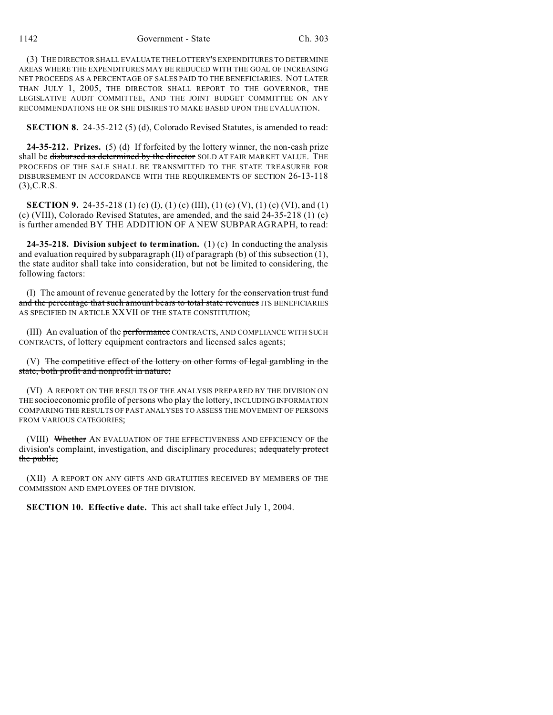(3) THE DIRECTOR SHALL EVALUATE THE LOTTERY'S EXPENDITURES TO DETERMINE AREAS WHERE THE EXPENDITURES MAY BE REDUCED WITH THE GOAL OF INCREASING NET PROCEEDS AS A PERCENTAGE OF SALES PAID TO THE BENEFICIARIES. NOT LATER THAN JULY 1, 2005, THE DIRECTOR SHALL REPORT TO THE GOVERNOR, THE LEGISLATIVE AUDIT COMMITTEE, AND THE JOINT BUDGET COMMITTEE ON ANY RECOMMENDATIONS HE OR SHE DESIRES TO MAKE BASED UPON THE EVALUATION.

**SECTION 8.** 24-35-212 (5) (d), Colorado Revised Statutes, is amended to read:

**24-35-212. Prizes.** (5) (d) If forfeited by the lottery winner, the non-cash prize shall be disbursed as determined by the director SOLD AT FAIR MARKET VALUE. THE PROCEEDS OF THE SALE SHALL BE TRANSMITTED TO THE STATE TREASURER FOR DISBURSEMENT IN ACCORDANCE WITH THE REQUIREMENTS OF SECTION 26-13-118 (3),C.R.S.

**SECTION 9.** 24-35-218 (1) (c) (I), (1) (c) (III), (1) (c) (V), (1) (c) (VI), and (1) (c) (VIII), Colorado Revised Statutes, are amended, and the said 24-35-218 (1) (c) is further amended BY THE ADDITION OF A NEW SUBPARAGRAPH, to read:

**24-35-218. Division subject to termination.** (1) (c) In conducting the analysis and evaluation required by subparagraph  $(II)$  of paragraph  $(b)$  of this subsection  $(1)$ , the state auditor shall take into consideration, but not be limited to considering, the following factors:

(I) The amount of revenue generated by the lottery for the conservation trust fund and the percentage that such amount bears to total state revenues ITS BENEFICIARIES AS SPECIFIED IN ARTICLE XXVII OF THE STATE CONSTITUTION;

(III) An evaluation of the performance CONTRACTS, AND COMPLIANCE WITH SUCH CONTRACTS, of lottery equipment contractors and licensed sales agents;

(V) The competitive effect of the lottery on other forms of legal gambling in the state, both profit and nonprofit in nature;

(VI) A REPORT ON THE RESULTS OF THE ANALYSIS PREPARED BY THE DIVISION ON THE socioeconomic profile of persons who play the lottery, INCLUDING INFORMATION COMPARING THE RESULTS OF PAST ANALYSES TO ASSESS THE MOVEMENT OF PERSONS FROM VARIOUS CATEGORIES;

(VIII) Whether AN EVALUATION OF THE EFFECTIVENESS AND EFFICIENCY OF the division's complaint, investigation, and disciplinary procedures; adequately protect the public;

(XII) A REPORT ON ANY GIFTS AND GRATUITIES RECEIVED BY MEMBERS OF THE COMMISSION AND EMPLOYEES OF THE DIVISION.

**SECTION 10. Effective date.** This act shall take effect July 1, 2004.